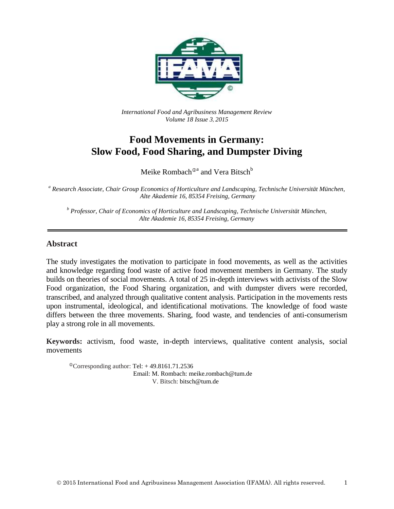

*International Food and Agribusiness Management Review Volume 18 Issue 3*, *2015*

# **Food Movements in Germany: Slow Food, Food Sharing, and Dumpster Diving**

Meike Rombach $^{{\scriptsize\text{0a}}}$  and Vera Bitsch $^{\rm b}$ 

*<sup>a</sup> Research Associate, Chair Group Economics of Horticulture and Landscaping, Technische Universität München, Alte Akademie 16, 85354 Freising, Germany*

*<sup>b</sup> Professor, Chair of Economics of Horticulture and Landscaping, Technische Universität München, Alte Akademie 16, 85354 Freising, Germany*

#### **Abstract**

The study investigates the motivation to participate in food movements, as well as the activities and knowledge regarding food waste of active food movement members in Germany. The study builds on theories of social movements. A total of 25 in-depth interviews with activists of the Slow Food organization, the Food Sharing organization, and with dumpster divers were recorded, transcribed, and analyzed through qualitative content analysis. Participation in the movements rests upon instrumental, ideological, and identificational motivations. The knowledge of food waste differs between the three movements. Sharing, food waste, and tendencies of anti-consumerism play a strong role in all movements.

**Keywords:** activism, food waste, in-depth interviews, qualitative content analysis, social movements

 $^{\circ}$ Corresponding author: Tel: +49.8161.71.2536 Email: M. Rombach: meike.rombach@tum.de V. Bitsch: bitsch@tum.de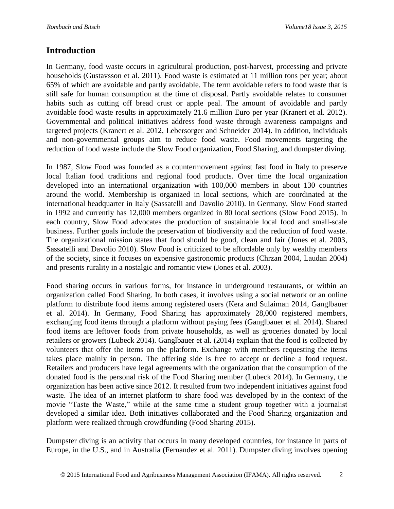### **Introduction**

In Germany, food waste occurs in agricultural production, post-harvest, processing and private households (Gustavsson et al. 2011). Food waste is estimated at 11 million tons per year; about 65% of which are avoidable and partly avoidable. The term avoidable refers to food waste that is still safe for human consumption at the time of disposal. Partly avoidable relates to consumer habits such as cutting off bread crust or apple peal. The amount of avoidable and partly avoidable food waste results in approximately 21.6 million Euro per year (Kranert et al. 2012). Governmental and political initiatives address food waste through awareness campaigns and targeted projects (Kranert et al. 2012, Lebersorger and Schneider 2014). In addition, individuals and non-governmental groups aim to reduce food waste. Food movements targeting the reduction of food waste include the Slow Food organization, Food Sharing, and dumpster diving.

In 1987, Slow Food was founded as a countermovement against fast food in Italy to preserve local Italian food traditions and regional food products. Over time the local organization developed into an international organization with 100,000 members in about 130 countries around the world. Membership is organized in local sections, which are coordinated at the international headquarter in Italy (Sassatelli and Davolio 2010). In Germany, Slow Food started in 1992 and currently has 12,000 members organized in 80 local sections (Slow Food 2015). In each country, Slow Food advocates the production of sustainable local food and small-scale business. Further goals include the preservation of biodiversity and the reduction of food waste. The organizational mission states that food should be good, clean and fair (Jones et al. 2003, Sassatelli and Davolio 2010). Slow Food is criticized to be affordable only by wealthy members of the society, since it focuses on expensive gastronomic products (Chrzan 2004, Laudan 2004) and presents rurality in a nostalgic and romantic view (Jones et al. 2003).

Food sharing occurs in various forms, for instance in underground restaurants, or within an organization called Food Sharing. In both cases, it involves using a social network or an online platform to distribute food items among registered users (Kera and Sulaiman 2014, Ganglbauer et al. 2014). In Germany, Food Sharing has approximately 28,000 registered members, exchanging food items through a platform without paying fees (Ganglbauer et al. 2014). Shared food items are leftover foods from private households, as well as groceries donated by local retailers or growers (Lubeck 2014). Ganglbauer et al. (2014) explain that the food is collected by volunteers that offer the items on the platform. Exchange with members requesting the items takes place mainly in person. The offering side is free to accept or decline a food request. Retailers and producers have legal agreements with the organization that the consumption of the donated food is the personal risk of the Food Sharing member (Lubeck 2014). In Germany, the organization has been active since 2012. It resulted from two independent initiatives against food waste. The idea of an internet platform to share food was developed by in the context of the movie "Taste the Waste," while at the same time a student group together with a journalist developed a similar idea. Both initiatives collaborated and the Food Sharing organization and platform were realized through crowdfunding (Food Sharing 2015).

Dumpster diving is an activity that occurs in many developed countries, for instance in parts of Europe, in the U.S., and in Australia (Fernandez et al. 2011). Dumpster diving involves opening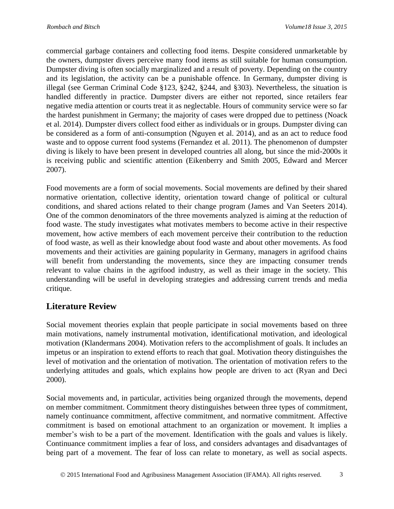commercial garbage containers and collecting food items. Despite considered unmarketable by the owners, dumpster divers perceive many food items as still suitable for human consumption. Dumpster diving is often socially marginalized and a result of poverty. Depending on the country and its legislation, the activity can be a punishable offence. In Germany, dumpster diving is illegal (see German Criminal Code §123, §242, §244, and §303). Nevertheless, the situation is handled differently in practice. Dumpster divers are either not reported, since retailers fear negative media attention or courts treat it as neglectable. Hours of community service were so far the hardest punishment in Germany; the majority of cases were dropped due to pettiness (Noack et al. 2014). Dumpster divers collect food either as individuals or in groups. Dumpster diving can be considered as a form of anti-consumption (Nguyen et al. 2014), and as an act to reduce food waste and to oppose current food systems (Fernandez et al. 2011). The phenomenon of dumpster diving is likely to have been present in developed countries all along, but since the mid-2000s it is receiving public and scientific attention (Eikenberry and Smith 2005, Edward and Mercer 2007).

Food movements are a form of social movements. Social movements are defined by their shared normative orientation, collective identity, orientation toward change of political or cultural conditions, and shared actions related to their change program (James and Van Seeters 2014). One of the common denominators of the three movements analyzed is aiming at the reduction of food waste. The study investigates what motivates members to become active in their respective movement, how active members of each movement perceive their contribution to the reduction of food waste, as well as their knowledge about food waste and about other movements. As food movements and their activities are gaining popularity in Germany, managers in agrifood chains will benefit from understanding the movements, since they are impacting consumer trends relevant to value chains in the agrifood industry, as well as their image in the society. This understanding will be useful in developing strategies and addressing current trends and media critique.

## **Literature Review**

Social movement theories explain that people participate in social movements based on three main motivations, namely instrumental motivation, identificational motivation, and ideological motivation (Klandermans 2004). Motivation refers to the accomplishment of goals. It includes an impetus or an inspiration to extend efforts to reach that goal. Motivation theory distinguishes the level of motivation and the orientation of motivation. The orientation of motivation refers to the underlying attitudes and goals, which explains how people are driven to act (Ryan and Deci 2000).

Social movements and, in particular, activities being organized through the movements, depend on member commitment. Commitment theory distinguishes between three types of commitment, namely continuance commitment, affective commitment, and normative commitment. Affective commitment is based on emotional attachment to an organization or movement. It implies a member's wish to be a part of the movement. Identification with the goals and values is likely. Continuance commitment implies a fear of loss, and considers advantages and disadvantages of being part of a movement. The fear of loss can relate to monetary, as well as social aspects.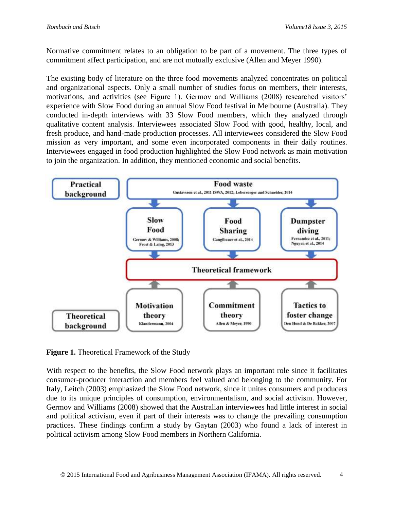Normative commitment relates to an obligation to be part of a movement. The three types of commitment affect participation, and are not mutually exclusive (Allen and Meyer 1990).

The existing body of literature on the three food movements analyzed concentrates on political and organizational aspects. Only a small number of studies focus on members, their interests, motivations, and activities (see Figure 1). Germov and Williams (2008) researched visitors' experience with Slow Food during an annual Slow Food festival in Melbourne (Australia). They conducted in-depth interviews with 33 Slow Food members, which they analyzed through qualitative content analysis. Interviewees associated Slow Food with good, healthy, local, and fresh produce, and hand-made production processes. All interviewees considered the Slow Food mission as very important, and some even incorporated components in their daily routines. Interviewees engaged in food production highlighted the Slow Food network as main motivation to join the organization. In addition, they mentioned economic and social benefits.



**Figure 1.** Theoretical Framework of the Study

With respect to the benefits, the Slow Food network plays an important role since it facilitates consumer-producer interaction and members feel valued and belonging to the community. For Italy, Leitch (2003) emphasized the Slow Food network, since it unites consumers and producers due to its unique principles of consumption, environmentalism, and social activism. However, Germov and Williams (2008) showed that the Australian interviewees had little interest in social and political activism, even if part of their interests was to change the prevailing consumption practices. These findings confirm a study by Gaytan (2003) who found a lack of interest in political activism among Slow Food members in Northern California.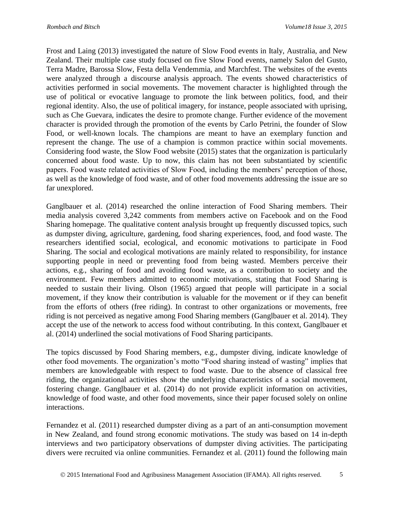Frost and Laing (2013) investigated the nature of Slow Food events in Italy, Australia, and New Zealand. Their multiple case study focused on five Slow Food events, namely Salon del Gusto, Terra Madre, Barossa Slow, Festa della Vendemmia, and Marchfest. The websites of the events were analyzed through a discourse analysis approach. The events showed characteristics of activities performed in social movements. The movement character is highlighted through the use of political or evocative language to promote the link between politics, food, and their regional identity. Also, the use of political imagery, for instance, people associated with uprising, such as Che Guevara, indicates the desire to promote change. Further evidence of the movement character is provided through the promotion of the events by Carlo Petrini, the founder of Slow Food, or well-known locals. The champions are meant to have an exemplary function and represent the change. The use of a champion is common practice within social movements. Considering food waste, the Slow Food website (2015) states that the organization is particularly concerned about food waste. Up to now, this claim has not been substantiated by scientific papers. Food waste related activities of Slow Food, including the members' perception of those, as well as the knowledge of food waste, and of other food movements addressing the issue are so far unexplored.

Ganglbauer et al. (2014) researched the online interaction of Food Sharing members. Their media analysis covered 3,242 comments from members active on Facebook and on the Food Sharing homepage. The qualitative content analysis brought up frequently discussed topics, such as dumpster diving, agriculture, gardening, food sharing experiences, food, and food waste. The researchers identified social, ecological, and economic motivations to participate in Food Sharing. The social and ecological motivations are mainly related to responsibility, for instance supporting people in need or preventing food from being wasted. Members perceive their actions, e.g., sharing of food and avoiding food waste, as a contribution to society and the environment. Few members admitted to economic motivations, stating that Food Sharing is needed to sustain their living. Olson (1965) argued that people will participate in a social movement, if they know their contribution is valuable for the movement or if they can benefit from the efforts of others (free riding). In contrast to other organizations or movements, free riding is not perceived as negative among Food Sharing members (Ganglbauer et al. 2014). They accept the use of the network to access food without contributing. In this context, Ganglbauer et al. (2014) underlined the social motivations of Food Sharing participants.

The topics discussed by Food Sharing members, e.g., dumpster diving, indicate knowledge of other food movements. The organization's motto "Food sharing instead of wasting" implies that members are knowledgeable with respect to food waste. Due to the absence of classical free riding, the organizational activities show the underlying characteristics of a social movement, fostering change. Ganglbauer et al. (2014) do not provide explicit information on activities, knowledge of food waste, and other food movements, since their paper focused solely on online interactions.

Fernandez et al. (2011) researched dumpster diving as a part of an anti-consumption movement in New Zealand, and found strong economic motivations. The study was based on 14 in-depth interviews and two participatory observations of dumpster diving activities. The participating divers were recruited via online communities. Fernandez et al. (2011) found the following main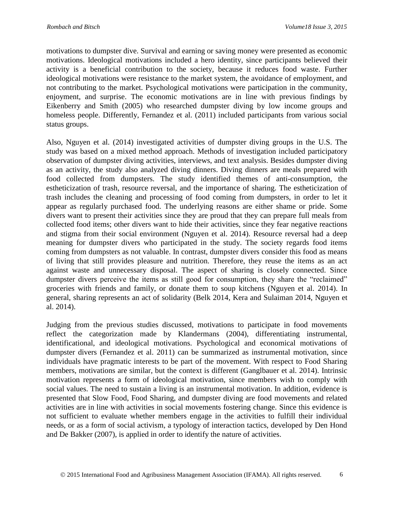motivations to dumpster dive. Survival and earning or saving money were presented as economic motivations. Ideological motivations included a hero identity, since participants believed their activity is a beneficial contribution to the society, because it reduces food waste. Further ideological motivations were resistance to the market system, the avoidance of employment, and not contributing to the market. Psychological motivations were participation in the community, enjoyment, and surprise. The economic motivations are in line with previous findings by Eikenberry and Smith (2005) who researched dumpster diving by low income groups and homeless people. Differently, Fernandez et al. (2011) included participants from various social status groups.

Also, Nguyen et al. (2014) investigated activities of dumpster diving groups in the U.S. The study was based on a mixed method approach. Methods of investigation included participatory observation of dumpster diving activities, interviews, and text analysis. Besides dumpster diving as an activity, the study also analyzed diving dinners. Diving dinners are meals prepared with food collected from dumpsters. The study identified themes of anti-consumption, the estheticization of trash, resource reversal, and the importance of sharing. The estheticization of trash includes the cleaning and processing of food coming from dumpsters, in order to let it appear as regularly purchased food. The underlying reasons are either shame or pride. Some divers want to present their activities since they are proud that they can prepare full meals from collected food items; other divers want to hide their activities, since they fear negative reactions and stigma from their social environment (Nguyen et al. 2014). Resource reversal had a deep meaning for dumpster divers who participated in the study. The society regards food items coming from dumpsters as not valuable. In contrast, dumpster divers consider this food as means of living that still provides pleasure and nutrition. Therefore, they reuse the items as an act against waste and unnecessary disposal. The aspect of sharing is closely connected. Since dumpster divers perceive the items as still good for consumption, they share the "reclaimed" groceries with friends and family, or donate them to soup kitchens (Nguyen et al. 2014). In general, sharing represents an act of solidarity (Belk 2014, Kera and Sulaiman 2014, Nguyen et al. 2014).

Judging from the previous studies discussed, motivations to participate in food movements reflect the categorization made by Klandermans (2004), differentiating instrumental, identificational, and ideological motivations. Psychological and economical motivations of dumpster divers (Fernandez et al. 2011) can be summarized as instrumental motivation, since individuals have pragmatic interests to be part of the movement. With respect to Food Sharing members, motivations are similar, but the context is different (Ganglbauer et al. 2014). Intrinsic motivation represents a form of ideological motivation, since members wish to comply with social values. The need to sustain a living is an instrumental motivation. In addition, evidence is presented that Slow Food, Food Sharing, and dumpster diving are food movements and related activities are in line with activities in social movements fostering change. Since this evidence is not sufficient to evaluate whether members engage in the activities to fulfill their individual needs, or as a form of social activism, a typology of interaction tactics, developed by Den Hond and De Bakker (2007), is applied in order to identify the nature of activities.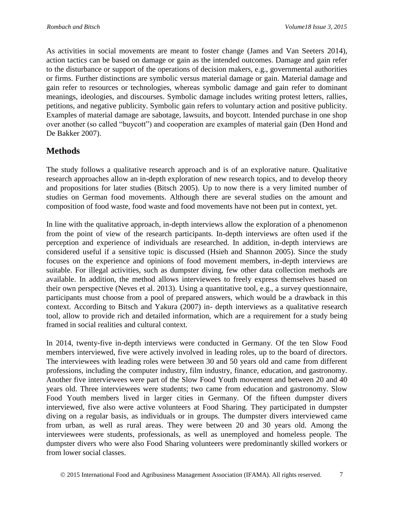As activities in social movements are meant to foster change (James and Van Seeters 2014), action tactics can be based on damage or gain as the intended outcomes. Damage and gain refer to the disturbance or support of the operations of decision makers, e.g., governmental authorities or firms. Further distinctions are symbolic versus material damage or gain. Material damage and gain refer to resources or technologies, whereas symbolic damage and gain refer to dominant meanings, ideologies, and discourses. Symbolic damage includes writing protest letters, rallies, petitions, and negative publicity. Symbolic gain refers to voluntary action and positive publicity. Examples of material damage are sabotage, lawsuits, and boycott. Intended purchase in one shop over another (so called "buycott") and cooperation are examples of material gain (Den Hond and De Bakker 2007).

# **Methods**

The study follows a qualitative research approach and is of an explorative nature. Qualitative research approaches allow an in-depth exploration of new research topics, and to develop theory and propositions for later studies (Bitsch 2005). Up to now there is a very limited number of studies on German food movements. Although there are several studies on the amount and composition of food waste, food waste and food movements have not been put in context, yet.

In line with the qualitative approach, in-depth interviews allow the exploration of a phenomenon from the point of view of the research participants. In-depth interviews are often used if the perception and experience of individuals are researched. In addition, in-depth interviews are considered useful if a sensitive topic is discussed (Hsieh and Shannon 2005). Since the study focuses on the experience and opinions of food movement members, in-depth interviews are suitable. For illegal activities, such as dumpster diving, few other data collection methods are available. In addition, the method allows interviewees to freely express themselves based on their own perspective (Neves et al. 2013). Using a quantitative tool, e.g., a survey questionnaire, participants must choose from a pool of prepared answers, which would be a drawback in this context. According to Bitsch and Yakura (2007) in- depth interviews as a qualitative research tool, allow to provide rich and detailed information, which are a requirement for a study being framed in social realities and cultural context.

In 2014, twenty-five in-depth interviews were conducted in Germany. Of the ten Slow Food members interviewed, five were actively involved in leading roles, up to the board of directors. The interviewees with leading roles were between 30 and 50 years old and came from different professions, including the computer industry, film industry, finance, education, and gastronomy. Another five interviewees were part of the Slow Food Youth movement and between 20 and 40 years old. Three interviewees were students; two came from education and gastronomy. Slow Food Youth members lived in larger cities in Germany. Of the fifteen dumpster divers interviewed, five also were active volunteers at Food Sharing. They participated in dumpster diving on a regular basis, as individuals or in groups. The dumpster divers interviewed came from urban, as well as rural areas. They were between 20 and 30 years old. Among the interviewees were students, professionals, as well as unemployed and homeless people. The dumpster divers who were also Food Sharing volunteers were predominantly skilled workers or from lower social classes.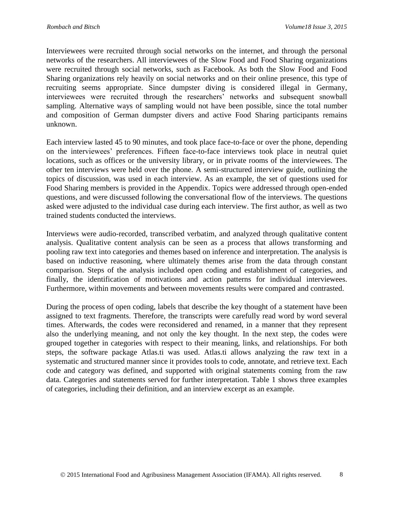Interviewees were recruited through social networks on the internet, and through the personal networks of the researchers. All interviewees of the Slow Food and Food Sharing organizations were recruited through social networks, such as Facebook. As both the Slow Food and Food Sharing organizations rely heavily on social networks and on their online presence, this type of recruiting seems appropriate. Since dumpster diving is considered illegal in Germany, interviewees were recruited through the researchers' networks and subsequent snowball sampling. Alternative ways of sampling would not have been possible, since the total number and composition of German dumpster divers and active Food Sharing participants remains unknown.

Each interview lasted 45 to 90 minutes, and took place face-to-face or over the phone, depending on the interviewees' preferences. Fifteen face-to-face interviews took place in neutral quiet locations, such as offices or the university library, or in private rooms of the interviewees. The other ten interviews were held over the phone. A semi-structured interview guide, outlining the topics of discussion, was used in each interview. As an example, the set of questions used for Food Sharing members is provided in the Appendix. Topics were addressed through open-ended questions, and were discussed following the conversational flow of the interviews. The questions asked were adjusted to the individual case during each interview. The first author, as well as two trained students conducted the interviews.

Interviews were audio-recorded, transcribed verbatim, and analyzed through qualitative content analysis. Qualitative content analysis can be seen as a process that allows transforming and pooling raw text into categories and themes based on inference and interpretation. The analysis is based on inductive reasoning, where ultimately themes arise from the data through constant comparison. Steps of the analysis included open coding and establishment of categories, and finally, the identification of motivations and action patterns for individual interviewees. Furthermore, within movements and between movements results were compared and contrasted.

During the process of open coding, labels that describe the key thought of a statement have been assigned to text fragments. Therefore, the transcripts were carefully read word by word several times. Afterwards, the codes were reconsidered and renamed, in a manner that they represent also the underlying meaning, and not only the key thought. In the next step, the codes were grouped together in categories with respect to their meaning, links, and relationships. For both steps, the software package Atlas.ti was used. Atlas.ti allows analyzing the raw text in a systematic and structured manner since it provides tools to code, annotate, and retrieve text. Each code and category was defined, and supported with original statements coming from the raw data. Categories and statements served for further interpretation. Table 1 shows three examples of categories, including their definition, and an interview excerpt as an example.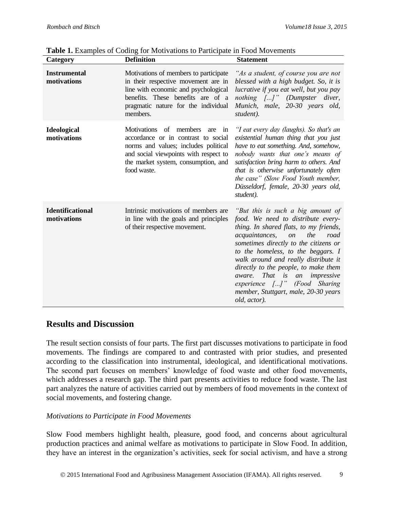**Table 1.** Examples of Coding for Motivations to Participate in Food Movements

| Category                               | <b>Definition</b>                                                                                                                                                                                                 | <b>Statement</b>                                                                                                                                                                                                                                                                                                                                                                                                                                                       |
|----------------------------------------|-------------------------------------------------------------------------------------------------------------------------------------------------------------------------------------------------------------------|------------------------------------------------------------------------------------------------------------------------------------------------------------------------------------------------------------------------------------------------------------------------------------------------------------------------------------------------------------------------------------------------------------------------------------------------------------------------|
| <b>Instrumental</b><br>motivations     | Motivations of members to participate<br>in their respective movement are in<br>line with economic and psychological<br>benefits. These benefits are of a<br>pragmatic nature for the individual<br>members.      | "As a student, of course you are not<br>blessed with a high budget. So, it is<br>lucrative if you eat well, but you pay<br>nothing []" (Dumpster diver,<br>Munich, male, 20-30 years old,<br>student).                                                                                                                                                                                                                                                                 |
| <b>Ideological</b><br>motivations      | Motivations of members<br>are<br>in<br>accordance or in contrast to social<br>norms and values; includes political<br>and social viewpoints with respect to<br>the market system, consumption, and<br>food waste. | "I eat every day (laughs). So that's an<br>existential human thing that you just<br>have to eat something. And, somehow,<br>nobody wants that one's means of<br>satisfaction bring harm to others. And<br>that is otherwise unfortunately often<br>the case" (Slow Food Youth member,<br>Düsseldorf, female, 20-30 years old,<br>student).                                                                                                                             |
| <b>Identificational</b><br>motivations | Intrinsic motivations of members are<br>in line with the goals and principles<br>of their respective movement.                                                                                                    | "But this is such a big amount of<br>food. We need to distribute every-<br>thing. In shared flats, to my friends,<br>the<br>acquaintances,<br><i>on</i><br>road<br>sometimes directly to the citizens or<br>to the homeless, to the beggars. I<br>walk around and really distribute it<br>directly to the people, to make them<br>That is<br>impressive<br><i>aware.</i><br>an<br>experience []" (Food Sharing<br>member, Stuttgart, male, 20-30 years<br>old, actor). |

### **Results and Discussion**

The result section consists of four parts. The first part discusses motivations to participate in food movements. The findings are compared to and contrasted with prior studies, and presented according to the classification into instrumental, ideological, and identificational motivations. The second part focuses on members' knowledge of food waste and other food movements, which addresses a research gap. The third part presents activities to reduce food waste. The last part analyzes the nature of activities carried out by members of food movements in the context of social movements, and fostering change.

### *Motivations to Participate in Food Movements*

Slow Food members highlight health, pleasure, good food, and concerns about agricultural production practices and animal welfare as motivations to participate in Slow Food. In addition, they have an interest in the organization's activities, seek for social activism, and have a strong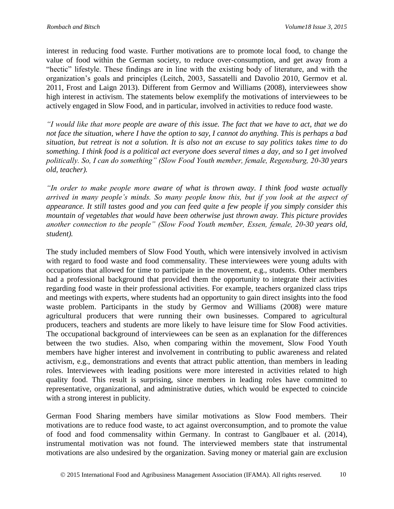interest in reducing food waste. Further motivations are to promote local food, to change the value of food within the German society, to reduce over-consumption, and get away from a "hectic" lifestyle. These findings are in line with the existing body of literature, and with the organization's goals and principles (Leitch, 2003, Sassatelli and Davolio 2010, Germov et al. 2011, Frost and Laign 2013). Different from Germov and Williams (2008), interviewees show high interest in activism. The statements below exemplify the motivations of interviewees to be actively engaged in Slow Food, and in particular, involved in activities to reduce food waste.

*"I would like that more people are aware of this issue. The fact that we have to act, that we do not face the situation, where I have the option to say, I cannot do anything. This is perhaps a bad situation, but retreat is not a solution. It is also not an excuse to say politics takes time to do something. I think food is a political act everyone does several times a day, and so I get involved politically. So, I can do something" (Slow Food Youth member, female, Regensburg, 20-30 years old, teacher).*

*"In order to make people more aware of what is thrown away. I think food waste actually arrived in many people's minds. So many people know this, but if you look at the aspect of appearance. It still tastes good and you can feed quite a few people if you simply consider this mountain of vegetables that would have been otherwise just thrown away. This picture provides another connection to the people" (Slow Food Youth member, Essen, female, 20-30 years old, student).*

The study included members of Slow Food Youth, which were intensively involved in activism with regard to food waste and food commensality. These interviewees were young adults with occupations that allowed for time to participate in the movement, e.g., students. Other members had a professional background that provided them the opportunity to integrate their activities regarding food waste in their professional activities. For example, teachers organized class trips and meetings with experts, where students had an opportunity to gain direct insights into the food waste problem. Participants in the study by Germov and Williams (2008) were mature agricultural producers that were running their own businesses. Compared to agricultural producers, teachers and students are more likely to have leisure time for Slow Food activities. The occupational background of interviewees can be seen as an explanation for the differences between the two studies. Also, when comparing within the movement, Slow Food Youth members have higher interest and involvement in contributing to public awareness and related activism, e.g., demonstrations and events that attract public attention, than members in leading roles. Interviewees with leading positions were more interested in activities related to high quality food. This result is surprising, since members in leading roles have committed to representative, organizational, and administrative duties, which would be expected to coincide with a strong interest in publicity.

German Food Sharing members have similar motivations as Slow Food members. Their motivations are to reduce food waste, to act against overconsumption, and to promote the value of food and food commensality within Germany. In contrast to Ganglbauer et al. (2014), instrumental motivation was not found. The interviewed members state that instrumental motivations are also undesired by the organization. Saving money or material gain are exclusion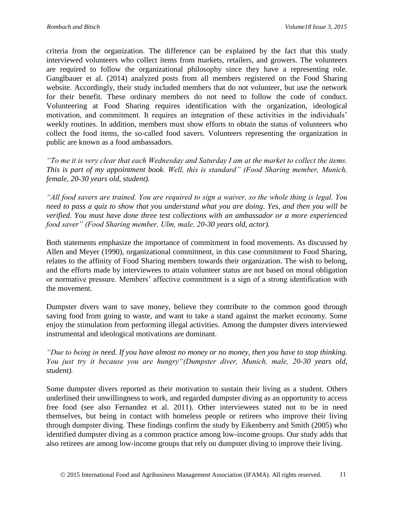criteria from the organization. The difference can be explained by the fact that this study interviewed volunteers who collect items from markets, retailers, and growers. The volunteers are required to follow the organizational philosophy since they have a representing role. Ganglbauer et al. (2014) analyzed posts from all members registered on the Food Sharing website. Accordingly, their study included members that do not volunteer, but use the network for their benefit. These ordinary members do not need to follow the code of conduct. Volunteering at Food Sharing requires identification with the organization, ideological motivation, and commitment. It requires an integration of these activities in the individuals' weekly routines. In addition, members must show efforts to obtain the status of volunteers who collect the food items, the so-called food savers. Volunteers representing the organization in public are known as a food ambassadors.

*"To me it is very clear that each Wednesday and Saturday I am at the market to collect the items. This is part of my appointment book. Well, this is standard" (Food Sharing member, Munich, female, 20-30 years old, student).*

*"All food savers are trained. You are required to sign a waiver, so the whole thing is legal. You need to pass a quiz to show that you understand what you are doing. Yes, and then you will be verified. You must have done three test collections with an ambassador or a more experienced food saver" (Food Sharing member, Ulm, male, 20-30 years old, actor).*

Both statements emphasize the importance of commitment in food movements. As discussed by Allen and Meyer (1990), organizational commitment, in this case commitment to Food Sharing, relates to the affinity of Food Sharing members towards their organization. The wish to belong, and the efforts made by interviewees to attain volunteer status are not based on moral obligation or normative pressure. Members' affective commitment is a sign of a strong identification with the movement.

Dumpster divers want to save money, believe they contribute to the common good through saving food from going to waste, and want to take a stand against the market economy. Some enjoy the stimulation from performing illegal activities. Among the dumpster divers interviewed instrumental and ideological motivations are dominant.

*"Due to being in need. If you have almost no money or no money, then you have to stop thinking. You just try it because you are hungry"(Dumpster diver, Munich, male, 20-30 years old, student).*

Some dumpster divers reported as their motivation to sustain their living as a student. Others underlined their unwillingness to work, and regarded dumpster diving as an opportunity to access free food (see also Fernandez et al. 2011). Other interviewees stated not to be in need themselves, but being in contact with homeless people or retirees who improve their living through dumpster diving. These findings confirm the study by Eikenberry and Smith (2005) who identified dumpster diving as a common practice among low-income groups. Our study adds that also retirees are among low-income groups that rely on dumpster diving to improve their living.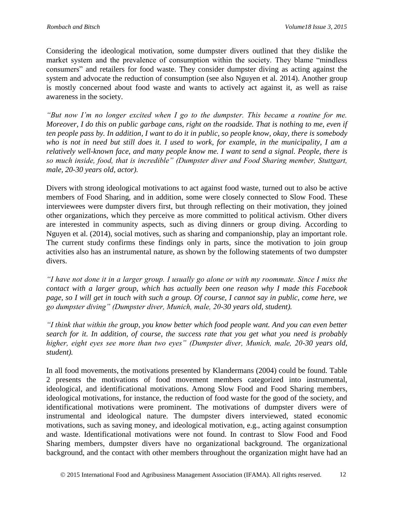Considering the ideological motivation, some dumpster divers outlined that they dislike the market system and the prevalence of consumption within the society. They blame "mindless consumers" and retailers for food waste. They consider dumpster diving as acting against the system and advocate the reduction of consumption (see also Nguyen et al. 2014). Another group is mostly concerned about food waste and wants to actively act against it, as well as raise awareness in the society.

*"But now I'm no longer excited when I go to the dumpster. This became a routine for me. Moreover, I do this on public garbage cans, right on the roadside. That is nothing to me, even if ten people pass by. In addition, I want to do it in public, so people know, okay, there is somebody who is not in need but still does it. I used to work, for example, in the municipality, I am a relatively well-known face, and many people know me. I want to send a signal. People, there is so much inside, food, that is incredible" (Dumpster diver and Food Sharing member, Stuttgart, male, 20-30 years old, actor).*

Divers with strong ideological motivations to act against food waste, turned out to also be active members of Food Sharing, and in addition, some were closely connected to Slow Food. These interviewees were dumpster divers first, but through reflecting on their motivation, they joined other organizations, which they perceive as more committed to political activism. Other divers are interested in community aspects, such as diving dinners or group diving. According to Nguyen et al. (2014), social motives, such as sharing and companionship, play an important role. The current study confirms these findings only in parts, since the motivation to join group activities also has an instrumental nature, as shown by the following statements of two dumpster divers.

*"I have not done it in a larger group. I usually go alone or with my roommate. Since I miss the contact with a larger group, which has actually been one reason why I made this Facebook page, so I will get in touch with such a group. Of course, I cannot say in public, come here, we go dumpster diving" (Dumpster diver, Munich, male, 20-30 years old, student).*

*"I think that within the group, you know better which food people want. And you can even better search for it. In addition, of course, the success rate that you get what you need is probably higher, eight eyes see more than two eyes" (Dumpster diver, Munich, male, 20-30 years old, student).*

In all food movements, the motivations presented by Klandermans (2004) could be found. Table 2 presents the motivations of food movement members categorized into instrumental, ideological, and identificational motivations. Among Slow Food and Food Sharing members, ideological motivations, for instance, the reduction of food waste for the good of the society, and identificational motivations were prominent. The motivations of dumpster divers were of instrumental and ideological nature. The dumpster divers interviewed, stated economic motivations, such as saving money, and ideological motivation, e.g., acting against consumption and waste. Identificational motivations were not found. In contrast to Slow Food and Food Sharing members, dumpster divers have no organizational background. The organizational background, and the contact with other members throughout the organization might have had an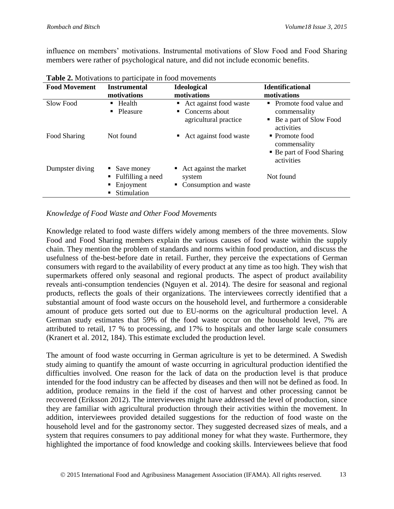influence on members' motivations. Instrumental motivations of Slow Food and Food Sharing members were rather of psychological nature, and did not include economic benefits.

| $\blacksquare$ and $\blacksquare$ . The contraction to participate in 100 $\alpha$ into remember |                                                                                           |                                                                         |                                                                                        |  |
|--------------------------------------------------------------------------------------------------|-------------------------------------------------------------------------------------------|-------------------------------------------------------------------------|----------------------------------------------------------------------------------------|--|
| <b>Food Movement</b>                                                                             | <b>Instrumental</b><br>motivations                                                        | <b>Ideological</b><br>motivations                                       | <b>Identificational</b><br>motivations                                                 |  |
| Slow Food                                                                                        | $\blacksquare$ Health<br>• Pleasure                                                       | Act against food waste<br>Concerns about<br>٠.<br>agricultural practice | • Promote food value and<br>commensality<br>• Be a part of Slow Food<br>activities     |  |
| Food Sharing                                                                                     | Not found                                                                                 | • Act against food waste                                                | $\blacksquare$ Promote food<br>commensality<br>• Be part of Food Sharing<br>activities |  |
| Dumpster diving                                                                                  | $\blacksquare$ Save money<br>Fulfilling a need<br>$\blacksquare$ Enjoyment<br>Stimulation | Act against the market<br>system<br>Consumption and waste               | Not found                                                                              |  |

**Table 2.** Motivations to participate in food movements

#### *Knowledge of Food Waste and Other Food Movements*

Knowledge related to food waste differs widely among members of the three movements. Slow Food and Food Sharing members explain the various causes of food waste within the supply chain. They mention the problem of standards and norms within food production, and discuss the usefulness of the-best-before date in retail. Further, they perceive the expectations of German consumers with regard to the availability of every product at any time as too high. They wish that supermarkets offered only seasonal and regional products. The aspect of product availability reveals anti-consumption tendencies (Nguyen et al. 2014). The desire for seasonal and regional products, reflects the goals of their organizations. The interviewees correctly identified that a substantial amount of food waste occurs on the household level, and furthermore a considerable amount of produce gets sorted out due to EU-norms on the agricultural production level. A German study estimates that 59% of the food waste occur on the household level, 7% are attributed to retail, 17 % to processing, and 17% to hospitals and other large scale consumers (Kranert et al. 2012, 184). This estimate excluded the production level.

The amount of food waste occurring in German agriculture is yet to be determined. A Swedish study aiming to quantify the amount of waste occurring in agricultural production identified the difficulties involved. One reason for the lack of data on the production level is that produce intended for the food industry can be affected by diseases and then will not be defined as food. In addition, produce remains in the field if the cost of harvest and other processing cannot be recovered (Eriksson 2012). The interviewees might have addressed the level of production, since they are familiar with agricultural production through their activities within the movement. In addition, interviewees provided detailed suggestions for the reduction of food waste on the household level and for the gastronomy sector. They suggested decreased sizes of meals, and a system that requires consumers to pay additional money for what they waste. Furthermore, they highlighted the importance of food knowledge and cooking skills. Interviewees believe that food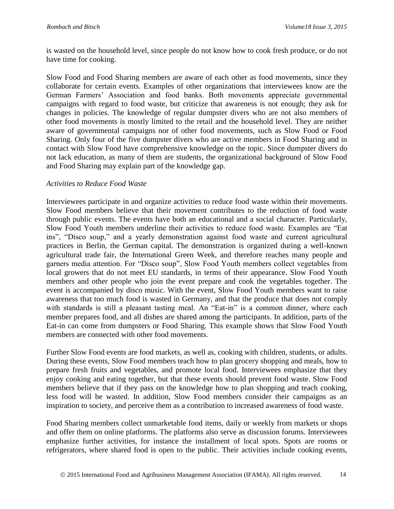is wasted on the household level, since people do not know how to cook fresh produce, or do not have time for cooking.

Slow Food and Food Sharing members are aware of each other as food movements, since they collaborate for certain events. Examples of other organizations that interviewees know are the German Farmers' Association and food banks. Both movements appreciate governmental campaigns with regard to food waste, but criticize that awareness is not enough; they ask for changes in policies. The knowledge of regular dumpster divers who are not also members of other food movements is mostly limited to the retail and the household level. They are neither aware of governmental campaigns nor of other food movements, such as Slow Food or Food Sharing. Only four of the five dumpster divers who are active members in Food Sharing and in contact with Slow Food have comprehensive knowledge on the topic. Since dumpster divers do not lack education, as many of them are students, the organizational background of Slow Food and Food Sharing may explain part of the knowledge gap.

#### *Activities to Reduce Food Waste*

Interviewees participate in and organize activities to reduce food waste within their movements. Slow Food members believe that their movement contributes to the reduction of food waste through public events. The events have both an educational and a social character. Particularly, Slow Food Youth members underline their activities to reduce food waste. Examples are "Eat ins", "Disco soup," and a yearly demonstration against food waste and current agricultural practices in Berlin, the German capital. The demonstration is organized during a well-known agricultural trade fair, the International Green Week, and therefore reaches many people and garners media attention. For "Disco soup", Slow Food Youth members collect vegetables from local growers that do not meet EU standards, in terms of their appearance. Slow Food Youth members and other people who join the event prepare and cook the vegetables together. The event is accompanied by disco music. With the event, Slow Food Youth members want to raise awareness that too much food is wasted in Germany, and that the produce that does not comply with standards is still a pleasant tasting meal. An "Eat-in" is a common dinner, where each member prepares food, and all dishes are shared among the participants. In addition, parts of the Eat-in can come from dumpsters or Food Sharing. This example shows that Slow Food Youth members are connected with other food movements.

Further Slow Food events are food markets, as well as, cooking with children, students, or adults. During these events, Slow Food members teach how to plan grocery shopping and meals, how to prepare fresh fruits and vegetables, and promote local food. Interviewees emphasize that they enjoy cooking and eating together, but that these events should prevent food waste. Slow Food members believe that if they pass on the knowledge how to plan shopping and teach cooking, less food will be wasted. In addition, Slow Food members consider their campaigns as an inspiration to society, and perceive them as a contribution to increased awareness of food waste.

Food Sharing members collect unmarketable food items, daily or weekly from markets or shops and offer them on online platforms. The platforms also serve as discussion forums. Interviewees emphasize further activities, for instance the installment of local spots. Spots are rooms or refrigerators, where shared food is open to the public. Their activities include cooking events,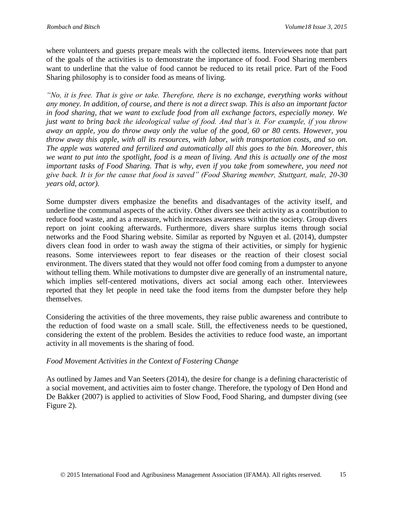where volunteers and guests prepare meals with the collected items. Interviewees note that part of the goals of the activities is to demonstrate the importance of food. Food Sharing members want to underline that the value of food cannot be reduced to its retail price. Part of the Food Sharing philosophy is to consider food as means of living.

*"No, it is free. That is give or take. Therefore, there is no exchange, everything works without any money. In addition, of course, and there is not a direct swap. This is also an important factor in food sharing, that we want to exclude food from all exchange factors, especially money. We just want to bring back the ideological value of food. And that's it. For example, if you throw away an apple, you do throw away only the value of the good, 60 or 80 cents. However, you throw away this apple, with all its resources, with labor, with transportation costs, and so on. The apple was watered and fertilized and automatically all this goes to the bin. Moreover, this we want to put into the spotlight, food is a mean of living. And this is actually one of the most important tasks of Food Sharing. That is why, even if you take from somewhere, you need not give back. It is for the cause that food is saved" (Food Sharing member, Stuttgart, male, 20-30 years old, actor).*

Some dumpster divers emphasize the benefits and disadvantages of the activity itself, and underline the communal aspects of the activity. Other divers see their activity as a contribution to reduce food waste, and as a measure, which increases awareness within the society. Group divers report on joint cooking afterwards. Furthermore, divers share surplus items through social networks and the Food Sharing website. Similar as reported by Nguyen et al. (2014), dumpster divers clean food in order to wash away the stigma of their activities, or simply for hygienic reasons. Some interviewees report to fear diseases or the reaction of their closest social environment. The divers stated that they would not offer food coming from a dumpster to anyone without telling them. While motivations to dumpster dive are generally of an instrumental nature, which implies self-centered motivations, divers act social among each other. Interviewees reported that they let people in need take the food items from the dumpster before they help themselves.

Considering the activities of the three movements, they raise public awareness and contribute to the reduction of food waste on a small scale. Still, the effectiveness needs to be questioned, considering the extent of the problem. Besides the activities to reduce food waste, an important activity in all movements is the sharing of food.

#### *Food Movement Activities in the Context of Fostering Change*

As outlined by James and Van Seeters (2014), the desire for change is a defining characteristic of a social movement, and activities aim to foster change. Therefore, the typology of Den Hond and De Bakker (2007) is applied to activities of Slow Food, Food Sharing, and dumpster diving (see Figure 2).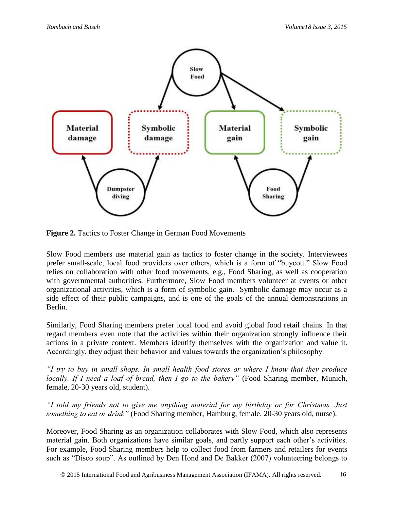

Figure 2. Tactics to Foster Change in German Food Movements

Slow Food members use material gain as tactics to foster change in the society. Interviewees prefer small-scale, local food providers over others, which is a form of "buycott." Slow Food relies on collaboration with other food movements, e.g., Food Sharing, as well as cooperation with governmental authorities. Furthermore, Slow Food members volunteer at events or other organizational activities, which is a form of symbolic gain. Symbolic damage may occur as a side effect of their public campaigns, and is one of the goals of the annual demonstrations in Berlin.

Similarly, Food Sharing members prefer local food and avoid global food retail chains. In that regard members even note that the activities within their organization strongly influence their actions in a private context. Members identify themselves with the organization and value it. Accordingly, they adjust their behavior and values towards the organization's philosophy.

*"I try to buy in small shops. In small health food stores or where I know that they produce locally. If I need a loaf of bread, then I go to the bakery"* (Food Sharing member, Munich, female, 20-30 years old, student).

*"I told my friends not to give me anything material for my birthday or for Christmas. Just something to eat or drink"* (Food Sharing member, Hamburg, female, 20-30 years old, nurse).

Moreover, Food Sharing as an organization collaborates with Slow Food, which also represents material gain. Both organizations have similar goals, and partly support each other's activities. For example, Food Sharing members help to collect food from farmers and retailers for events such as "Disco soup". As outlined by Den Hond and De Bakker (2007) volunteering belongs to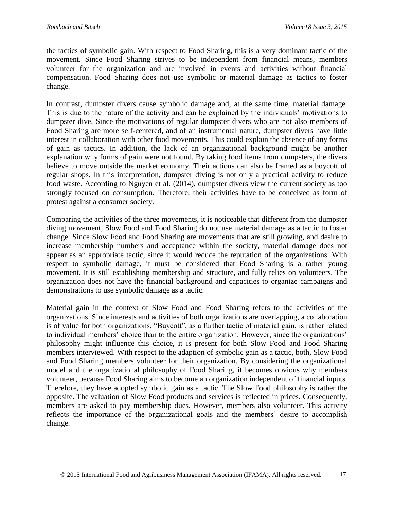the tactics of symbolic gain. With respect to Food Sharing, this is a very dominant tactic of the movement. Since Food Sharing strives to be independent from financial means, members volunteer for the organization and are involved in events and activities without financial compensation. Food Sharing does not use symbolic or material damage as tactics to foster change.

In contrast, dumpster divers cause symbolic damage and, at the same time, material damage. This is due to the nature of the activity and can be explained by the individuals' motivations to dumpster dive. Since the motivations of regular dumpster divers who are not also members of Food Sharing are more self-centered, and of an instrumental nature, dumpster divers have little interest in collaboration with other food movements. This could explain the absence of any forms of gain as tactics. In addition, the lack of an organizational background might be another explanation why forms of gain were not found. By taking food items from dumpsters, the divers believe to move outside the market economy. Their actions can also be framed as a boycott of regular shops. In this interpretation, dumpster diving is not only a practical activity to reduce food waste. According to Nguyen et al. (2014), dumpster divers view the current society as too strongly focused on consumption. Therefore, their activities have to be conceived as form of protest against a consumer society.

Comparing the activities of the three movements, it is noticeable that different from the dumpster diving movement, Slow Food and Food Sharing do not use material damage as a tactic to foster change. Since Slow Food and Food Sharing are movements that are still growing, and desire to increase membership numbers and acceptance within the society, material damage does not appear as an appropriate tactic, since it would reduce the reputation of the organizations. With respect to symbolic damage, it must be considered that Food Sharing is a rather young movement. It is still establishing membership and structure, and fully relies on volunteers. The organization does not have the financial background and capacities to organize campaigns and demonstrations to use symbolic damage as a tactic.

Material gain in the context of Slow Food and Food Sharing refers to the activities of the organizations. Since interests and activities of both organizations are overlapping, a collaboration is of value for both organizations. "Buycott", as a further tactic of material gain, is rather related to individual members' choice than to the entire organization. However, since the organizations' philosophy might influence this choice, it is present for both Slow Food and Food Sharing members interviewed. With respect to the adaption of symbolic gain as a tactic, both, Slow Food and Food Sharing members volunteer for their organization. By considering the organizational model and the organizational philosophy of Food Sharing, it becomes obvious why members volunteer, because Food Sharing aims to become an organization independent of financial inputs. Therefore, they have adopted symbolic gain as a tactic. The Slow Food philosophy is rather the opposite. The valuation of Slow Food products and services is reflected in prices. Consequently, members are asked to pay membership dues. However, members also volunteer. This activity reflects the importance of the organizational goals and the members' desire to accomplish change.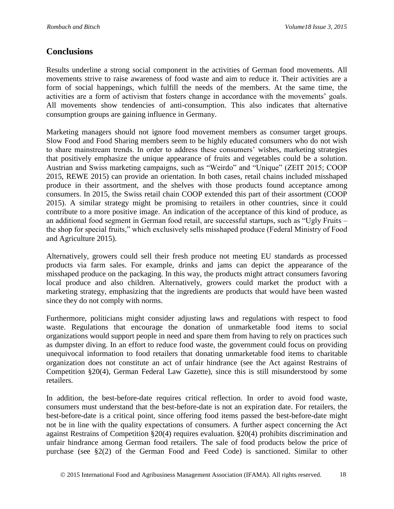### **Conclusions**

Results underline a strong social component in the activities of German food movements. All movements strive to raise awareness of food waste and aim to reduce it. Their activities are a form of social happenings, which fulfill the needs of the members. At the same time, the activities are a form of activism that fosters change in accordance with the movements' goals. All movements show tendencies of anti-consumption. This also indicates that alternative consumption groups are gaining influence in Germany.

Marketing managers should not ignore food movement members as consumer target groups. Slow Food and Food Sharing members seem to be highly educated consumers who do not wish to share mainstream trends. In order to address these consumers' wishes, marketing strategies that positively emphasize the unique appearance of fruits and vegetables could be a solution. Austrian and Swiss marketing campaigns, such as "Weirdo" and "Unique" (ZEIT 2015; COOP 2015, REWE 2015) can provide an orientation. In both cases, retail chains included misshaped produce in their assortment, and the shelves with those products found acceptance among consumers. In 2015, the Swiss retail chain COOP extended this part of their assortment (COOP 2015). A similar strategy might be promising to retailers in other countries, since it could contribute to a more positive image. An indication of the acceptance of this kind of produce, as an additional food segment in German food retail, are successful startups, such as "Ugly Fruits – the shop for special fruits," which exclusively sells misshaped produce (Federal Ministry of Food and Agriculture 2015).

Alternatively, growers could sell their fresh produce not meeting EU standards as processed products via farm sales. For example, drinks and jams can depict the appearance of the misshaped produce on the packaging. In this way, the products might attract consumers favoring local produce and also children. Alternatively, growers could market the product with a marketing strategy, emphasizing that the ingredients are products that would have been wasted since they do not comply with norms.

Furthermore, politicians might consider adjusting laws and regulations with respect to food waste. Regulations that encourage the donation of unmarketable food items to social organizations would support people in need and spare them from having to rely on practices such as dumpster diving. In an effort to reduce food waste, the government could focus on providing unequivocal information to food retailers that donating unmarketable food items to charitable organization does not constitute an act of unfair hindrance (see the Act against Restrains of Competition §20(4), German Federal Law Gazette), since this is still misunderstood by some retailers.

In addition, the best-before-date requires critical reflection. In order to avoid food waste, consumers must understand that the best-before-date is not an expiration date. For retailers, the best-before-date is a critical point, since offering food items passed the best-before-date might not be in line with the quality expectations of consumers. A further aspect concerning the Act against Restrains of Competition §20(4) requires evaluation. §20(4) prohibits discrimination and unfair hindrance among German food retailers. The sale of food products below the price of purchase (see §2(2) of the German Food and Feed Code) is sanctioned. Similar to other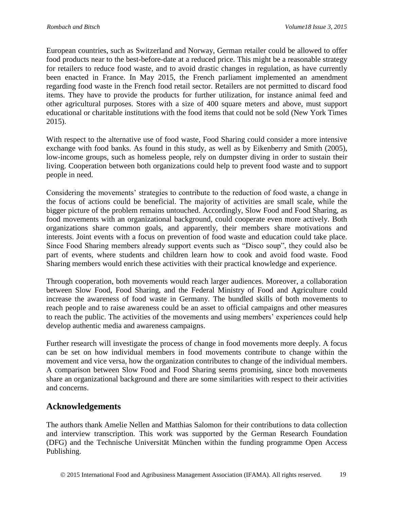European countries, such as Switzerland and Norway, German retailer could be allowed to offer food products near to the best-before-date at a reduced price. This might be a reasonable strategy for retailers to reduce food waste, and to avoid drastic changes in regulation, as have currently been enacted in France. In May 2015, the French parliament implemented an amendment regarding food waste in the French food retail sector. Retailers are not permitted to discard food items. They have to provide the products for further utilization, for instance animal feed and other agricultural purposes. Stores with a size of 400 square meters and above, must support educational or charitable institutions with the food items that could not be sold (New York Times 2015).

With respect to the alternative use of food waste, Food Sharing could consider a more intensive exchange with food banks. As found in this study, as well as by Eikenberry and Smith (2005), low-income groups, such as homeless people, rely on dumpster diving in order to sustain their living. Cooperation between both organizations could help to prevent food waste and to support people in need.

Considering the movements' strategies to contribute to the reduction of food waste, a change in the focus of actions could be beneficial. The majority of activities are small scale, while the bigger picture of the problem remains untouched. Accordingly, Slow Food and Food Sharing, as food movements with an organizational background, could cooperate even more actively. Both organizations share common goals, and apparently, their members share motivations and interests. Joint events with a focus on prevention of food waste and education could take place. Since Food Sharing members already support events such as "Disco soup", they could also be part of events, where students and children learn how to cook and avoid food waste. Food Sharing members would enrich these activities with their practical knowledge and experience.

Through cooperation, both movements would reach larger audiences. Moreover, a collaboration between Slow Food, Food Sharing, and the Federal Ministry of Food and Agriculture could increase the awareness of food waste in Germany. The bundled skills of both movements to reach people and to raise awareness could be an asset to official campaigns and other measures to reach the public. The activities of the movements and using members' experiences could help develop authentic media and awareness campaigns.

Further research will investigate the process of change in food movements more deeply. A focus can be set on how individual members in food movements contribute to change within the movement and vice versa, how the organization contributes to change of the individual members. A comparison between Slow Food and Food Sharing seems promising, since both movements share an organizational background and there are some similarities with respect to their activities and concerns.

## **Acknowledgements**

The authors thank Amelie Nellen and Matthias Salomon for their contributions to data collection and interview transcription. This work was supported by the German Research Foundation (DFG) and the Technische Universität München within the funding programme Open Access Publishing.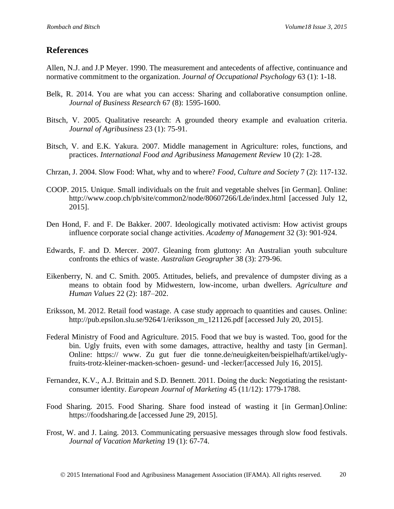### **References**

Allen, N.J. and J.P Meyer. 1990. The measurement and antecedents of affective, continuance and normative commitment to the organization. *Journal of Occupational Psychology* 63 (1): 1-18.

- Belk, R. 2014. You are what you can access: Sharing and collaborative consumption online. *Journal of Business Research* 67 (8): 1595-1600.
- Bitsch, V. 2005. Qualitative research: A grounded theory example and evaluation criteria*. Journal of Agribusiness* 23 (1): 75-91.
- Bitsch, V. and E.K. Yakura. 2007. Middle management in Agriculture: roles, functions, and practices. *International Food and Agribusiness Management Review* 10 (2): 1-28.
- Chrzan, J. 2004. Slow Food: What, why and to where? *Food, Culture and Society* 7 (2): 117-132.
- COOP. 2015. Unique. Small individuals on the fruit and vegetable shelves [in German]. Online: http://www.coop.ch/pb/site/common2/node/80607266/Lde/index.html [accessed July 12, 2015].
- Den Hond, F. and F. De Bakker. 2007. Ideologically motivated activism: How activist groups influence corporate social change activities. *Academy of Management* 32 (3): 901-924.
- Edwards, F. and D. Mercer. 2007. Gleaning from gluttony: An Australian youth subculture confronts the ethics of waste. *Australian Geographer* 38 (3): 279-96.
- Eikenberry, N. and C. Smith. 2005. Attitudes, beliefs, and prevalence of dumpster diving as a means to obtain food by Midwestern, low-income, urban dwellers. *Agriculture and Human Values* 22 (2): 187–202.
- Eriksson, M. 2012. Retail food wastage. A case study approach to quantities and causes. Online: http://pub.epsilon.slu.se/9264/1/eriksson\_m\_121126.pdf [accessed July 20, 2015].
- Federal Ministry of Food and Agriculture. 2015. Food that we buy is wasted. Too, good for the bin. Ugly fruits, even with some damages, attractive, healthy and tasty [in German]. Online: https:// www. Zu gut fuer die tonne.de/neuigkeiten/beispielhaft/artikel/uglyfruits-trotz-kleiner-macken-schoen- gesund- und -lecker/[accessed July 16, 2015].
- Fernandez, K.V., A.J. Brittain and S.D. Bennett. 2011. Doing the duck: Negotiating the resistantconsumer identity. *European Journal of Marketing* 45 (11/12): 1779-1788.
- Food Sharing. 2015. Food Sharing. Share food instead of wasting it [in German].Online: https://foodsharing.de [accessed June 29, 2015].
- Frost, W. and J. Laing. 2013. Communicating persuasive messages through slow food festivals. *Journal of Vacation Marketing* 19 (1): 67-74.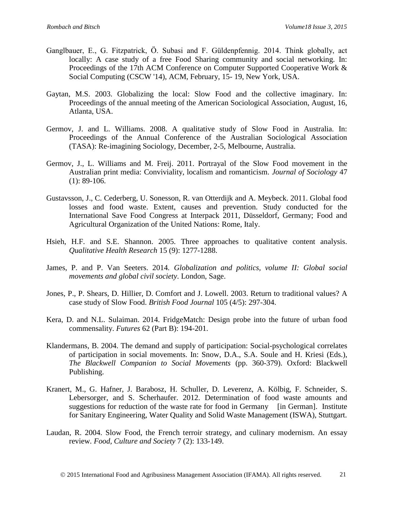- Ganglbauer, E., G. Fitzpatrick, Ö. Subasi and F. Güldenpfennig. 2014. Think globally, act locally: A case study of a free Food Sharing community and social networking. In: Proceedings of the 17th ACM Conference on Computer Supported Cooperative Work & Social Computing (CSCW '14), ACM, February, 15- 19, New York, USA.
- Gaytan, M.S. 2003. Globalizing the local: Slow Food and the collective imaginary. In: Proceedings of the annual meeting of the American Sociological Association, August, 16, Atlanta, USA.
- Germov, J. and L. Williams. 2008. A qualitative study of Slow Food in Australia. In: Proceedings of the Annual Conference of the Australian Sociological Association (TASA): Re-imagining Sociology, December, 2-5, Melbourne, Australia.
- Germov, J., L. Williams and M. Freij. 2011. Portrayal of the Slow Food movement in the Australian print media: Conviviality, localism and romanticism. *Journal of Sociology* 47  $(1): 89-106.$
- Gustavsson, J., C. Cederberg, U. Sonesson, R. van Otterdijk and A. Meybeck. 2011. Global food losses and food waste. Extent, causes and prevention. Study conducted for the International Save Food Congress at Interpack 2011, Düsseldorf, Germany; Food and Agricultural Organization of the United Nations: Rome, Italy.
- Hsieh, H.F. and S.E. Shannon. 2005. Three approaches to qualitative content analysis. *Qualitative Health Research* 15 (9): 1277-1288.
- James, P. and P. Van Seeters. 2014*. Globalization and politics, volume II: Global social movements and global civil society*. London, Sage.
- Jones, P., P. Shears, D. Hillier, D. Comfort and J. Lowell. 2003. Return to traditional values? A case study of Slow Food. *British Food Journal* 105 (4/5): 297-304.
- Kera, D. and N.L. Sulaiman. 2014. FridgeMatch: Design probe into the future of urban food commensality. *Futures* 62 (Part B): 194-201.
- Klandermans, B. 2004. The demand and supply of participation: Social-psychological correlates of participation in social movements. In: Snow, D.A., S.A. Soule and H. Kriesi (Eds.), *The Blackwell Companion to Social Movements* (pp. 360-379). Oxford: Blackwell Publishing.
- Kranert, M., G. Hafner, J. Barabosz, H. Schuller, D. Leverenz, A. Kölbig, F. Schneider, S. Lebersorger, and S. Scherhaufer. 2012. Determination of food waste amounts and suggestions for reduction of the waste rate for food in Germany [in German]. Institute for Sanitary Engineering, Water Quality and Solid Waste Management (ISWA), Stuttgart.
- Laudan, R. 2004. Slow Food, the French terroir strategy, and culinary modernism. An essay review*. Food, Culture and Society* 7 (2): 133-149.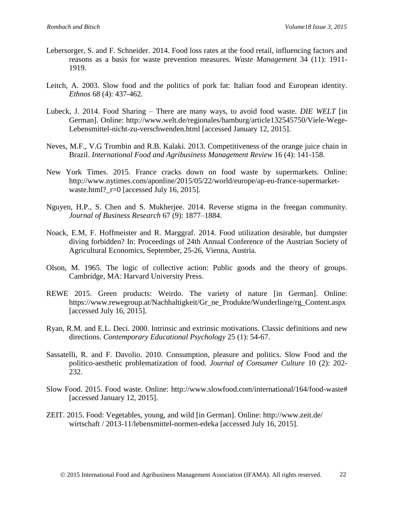- Lebersorger, S. and F. Schneider. 2014. Food loss rates at the food retail, influencing factors and reasons as a basis for waste prevention measures. *Waste Management* 34 (11): 1911- 1919.
- Leitch, A. 2003. Slow food and the politics of pork fat: Italian food and European identity*. Ethnos* 68 (4): 437-462.
- Lubeck, J. 2014. Food Sharing There are many ways, to avoid food waste. *DIE WELT* [in German]. Online: http://www.welt.de/regionales/hamburg/article132545750/Viele-Wege-Lebensmittel-nicht-zu-verschwenden.html [accessed January 12, 2015].
- Neves, M.F., V.G Trombin and R.B. Kalaki. 2013. Competitiveness of the orange juice chain in Brazil. *International Food and Agribusiness Management Review* 16 (4): 141-158.
- New York Times. 2015. France cracks down on food waste by supermarkets. Online: http://www.nytimes.com/aponline/2015/05/22/world/europe/ap-eu-france-supermarketwaste.html?\_r=0 [accessed July 16, 2015].
- Nguyen, H.P., S. Chen and S. Mukherjee. 2014. Reverse stigma in the freegan community. *Journal of Business Research* 67 (9): 1877–1884.
- Noack, E.M, F. Hoffmeister and R. Marggraf. 2014. Food utilization desirable, but dumpster diving forbidden? In: Proceedings of 24th Annual Conference of the Austrian Society of Agricultural Economics, September, 25-26, Vienna, Austria.
- Olson, M. 1965. The logic of collective action: Public goods and the theory of groups*.* Cambridge, MA: Harvard University Press.
- REWE 2015. Green products: Weirdo. The variety of nature [in German]. Online: https://www.rewegroup.at/Nachhaltigkeit/Gr\_ne\_Produkte/Wunderlinge/rg\_Content.aspx [accessed July 16, 2015].
- Ryan, R.M. and E.L. Deci. 2000. Intrinsic and extrinsic motivations. Classic definitions and new directions. *Contemporary Educational Psychology* 25 (1): 54-67.
- Sassatelli, R. and F. Davolio. 2010. Consumption, pleasure and politics. Slow Food and the politico-aesthetic problematization of food. *Journal of Consumer Culture* 10 (2): 202- 232.
- Slow Food. 2015. Food waste. Online: http://www.slowfood.com/international/164/food-waste# [accessed January 12, 2015].
- ZEIT. 2015. Food: Vegetables, young, and wild [in German]. Online: http://www.zeit.de/ wirtschaft / 2013-11/lebensmittel-normen-edeka [accessed July 16, 2015].